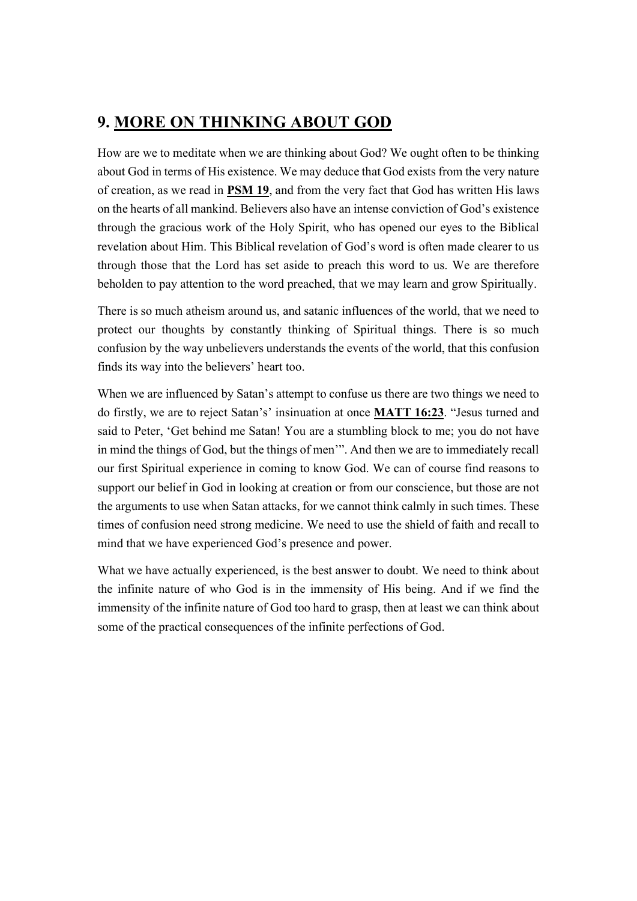## 9. MORE ON THINKING ABOUT GOD

How are we to meditate when we are thinking about God? We ought often to be thinking about God in terms of His existence. We may deduce that God exists from the very nature of creation, as we read in **PSM 19**, and from the very fact that God has written His laws on the hearts of all mankind. Believers also have an intense conviction of God's existence through the gracious work of the Holy Spirit, who has opened our eyes to the Biblical revelation about Him. This Biblical revelation of God's word is often made clearer to us through those that the Lord has set aside to preach this word to us. We are therefore beholden to pay attention to the word preached, that we may learn and grow Spiritually.

There is so much atheism around us, and satanic influences of the world, that we need to protect our thoughts by constantly thinking of Spiritual things. There is so much confusion by the way unbelievers understands the events of the world, that this confusion finds its way into the believers' heart too.

When we are influenced by Satan's attempt to confuse us there are two things we need to do firstly, we are to reject Satan's' insinuation at once MATT 16:23. "Jesus turned and said to Peter, 'Get behind me Satan! You are a stumbling block to me; you do not have in mind the things of God, but the things of men'". And then we are to immediately recall our first Spiritual experience in coming to know God. We can of course find reasons to support our belief in God in looking at creation or from our conscience, but those are not the arguments to use when Satan attacks, for we cannot think calmly in such times. These times of confusion need strong medicine. We need to use the shield of faith and recall to mind that we have experienced God's presence and power.

What we have actually experienced, is the best answer to doubt. We need to think about the infinite nature of who God is in the immensity of His being. And if we find the immensity of the infinite nature of God too hard to grasp, then at least we can think about some of the practical consequences of the infinite perfections of God.